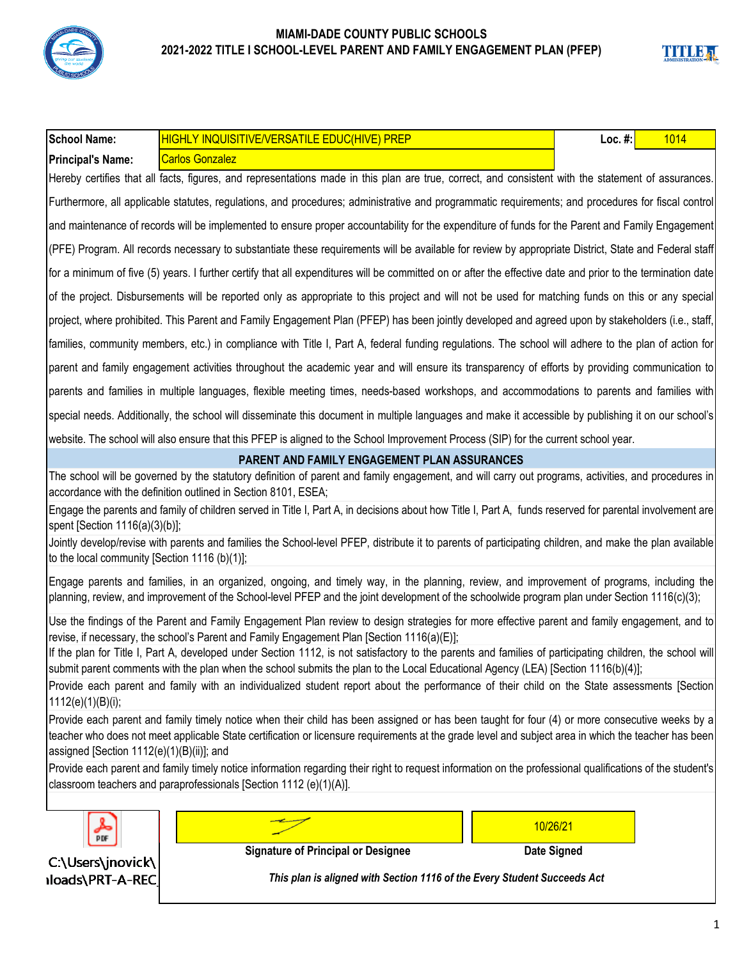

| <b>School Name:</b>                           | <b>HIGHLY INQUISITIVE/VERSATILE EDUC(HIVE) PREP</b>                                                                                                                                                                                                                                            | Loc. $#$ : | 1014 |
|-----------------------------------------------|------------------------------------------------------------------------------------------------------------------------------------------------------------------------------------------------------------------------------------------------------------------------------------------------|------------|------|
| <b>Principal's Name:</b>                      | <b>Carlos Gonzalez</b>                                                                                                                                                                                                                                                                         |            |      |
|                                               | Hereby certifies that all facts, figures, and representations made in this plan are true, correct, and consistent with the statement of assurances.                                                                                                                                            |            |      |
|                                               | Furthermore, all applicable statutes, regulations, and procedures; administrative and programmatic requirements; and procedures for fiscal control                                                                                                                                             |            |      |
|                                               | and maintenance of records will be implemented to ensure proper accountability for the expenditure of funds for the Parent and Family Engagement                                                                                                                                               |            |      |
|                                               | (PFE) Program. All records necessary to substantiate these requirements will be available for review by appropriate District, State and Federal staff                                                                                                                                          |            |      |
|                                               | for a minimum of five (5) years. I further certify that all expenditures will be committed on or after the effective date and prior to the termination date                                                                                                                                    |            |      |
|                                               | of the project. Disbursements will be reported only as appropriate to this project and will not be used for matching funds on this or any special                                                                                                                                              |            |      |
|                                               | project, where prohibited. This Parent and Family Engagement Plan (PFEP) has been jointly developed and agreed upon by stakeholders (i.e., staff,                                                                                                                                              |            |      |
|                                               | families, community members, etc.) in compliance with Title I, Part A, federal funding regulations. The school will adhere to the plan of action for                                                                                                                                           |            |      |
|                                               | parent and family engagement activities throughout the academic year and will ensure its transparency of efforts by providing communication to                                                                                                                                                 |            |      |
|                                               | parents and families in multiple languages, flexible meeting times, needs-based workshops, and accommodations to parents and families with                                                                                                                                                     |            |      |
|                                               | special needs. Additionally, the school will disseminate this document in multiple languages and make it accessible by publishing it on our school's                                                                                                                                           |            |      |
|                                               | website. The school will also ensure that this PFEP is aligned to the School Improvement Process (SIP) for the current school year.                                                                                                                                                            |            |      |
|                                               | <b>PARENT AND FAMILY ENGAGEMENT PLAN ASSURANCES</b>                                                                                                                                                                                                                                            |            |      |
|                                               | The school will be governed by the statutory definition of parent and family engagement, and will carry out programs, activities, and procedures in<br>accordance with the definition outlined in Section 8101, ESEA;                                                                          |            |      |
| spent [Section 1116(a)(3)(b)];                | Engage the parents and family of children served in Title I, Part A, in decisions about how Title I, Part A, funds reserved for parental involvement are                                                                                                                                       |            |      |
| to the local community [Section 1116 (b)(1)]; | Jointly develop/revise with parents and families the School-level PFEP, distribute it to parents of participating children, and make the plan available                                                                                                                                        |            |      |
|                                               | Engage parents and families, in an organized, ongoing, and timely way, in the planning, review, and improvement of programs, including the<br>planning, review, and improvement of the School-level PFEP and the joint development of the schoolwide program plan under Section 1116(c)(3);    |            |      |
|                                               | Use the findings of the Parent and Family Engagement Plan review to design strategies for more effective parent and family engagement, and to<br>revise, if necessary, the school's Parent and Family Engagement Plan [Section 1116(a)(E)];                                                    |            |      |
|                                               | If the plan for Title I, Part A, developed under Section 1112, is not satisfactory to the parents and families of participating children, the school will<br>submit parent comments with the plan when the school submits the plan to the Local Educational Agency (LEA) [Section 1116(b)(4)]; |            |      |
| 1112(e)(1)(B)(i);                             | Provide each parent and family with an individualized student report about the performance of their child on the State assessments [Section                                                                                                                                                    |            |      |
|                                               | Provide each parent and family timely notice when their child has been assigned or has been taught for four (4) or more consecutive weeks by a                                                                                                                                                 |            |      |
| assigned [Section 1112(e)(1)(B)(ii)]; and     | teacher who does not meet applicable State certification or licensure requirements at the grade level and subject area in which the teacher has been                                                                                                                                           |            |      |
|                                               | Provide each parent and family timely notice information regarding their right to request information on the professional qualifications of the student's                                                                                                                                      |            |      |
|                                               | classroom teachers and paraprofessionals [Section 1112 (e)(1)(A)].                                                                                                                                                                                                                             |            |      |
|                                               |                                                                                                                                                                                                                                                                                                |            |      |
| PDF                                           | 10/26/21                                                                                                                                                                                                                                                                                       |            |      |
| C:\Users\jnovick\                             | <b>Signature of Principal or Designee</b><br><b>Date Signed</b>                                                                                                                                                                                                                                |            |      |
| Iloads\PRT-A-REC                              | This plan is aligned with Section 1116 of the Every Student Succeeds Act                                                                                                                                                                                                                       |            |      |

**TITLE**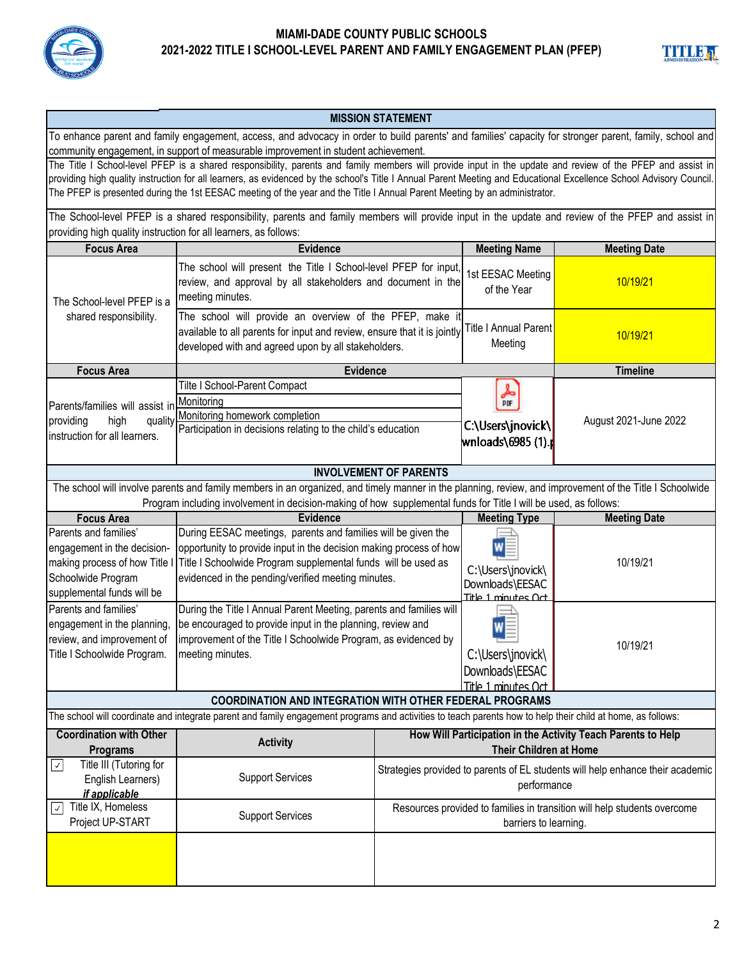



#### **MISSION STATEMENT**

To enhance parent and family engagement, access, and advocacy in order to build parents' and families' capacity for stronger parent, family, school and community engagement, in support of measurable improvement in student achievement.

The Title I School-level PFEP is a shared responsibility, parents and family members will provide input in the update and review of the PFEP and assist in providing high quality instruction for all learners, as evidenced by the school's Title I Annual Parent Meeting and Educational Excellence School Advisory Council. The PFEP is presented during the 1st EESAC meeting of the year and the Title I Annual Parent Meeting by an administrator.

The School-level PFEP is a shared responsibility, parents and family members will provide input in the update and review of the PFEP and assist in providing high quality instruction for all learners, as follows:

| <b>Focus Area</b>                                                                                                                                        | <b>Evidence</b>                                                                                                                                                                                                                                            |                                                                                                   | <b>Meeting Name</b>                                              | <b>Meeting Date</b>   |  |  |
|----------------------------------------------------------------------------------------------------------------------------------------------------------|------------------------------------------------------------------------------------------------------------------------------------------------------------------------------------------------------------------------------------------------------------|---------------------------------------------------------------------------------------------------|------------------------------------------------------------------|-----------------------|--|--|
| The School-level PFEP is a                                                                                                                               | The school will present the Title I School-level PFEP for input,<br>review, and approval by all stakeholders and document in the<br>meeting minutes.                                                                                                       |                                                                                                   | 1st EESAC Meeting<br>of the Year                                 | 10/19/21              |  |  |
| shared responsibility.                                                                                                                                   | The school will provide an overview of the PFEP, make it<br>available to all parents for input and review, ensure that it is jointly<br>developed with and agreed upon by all stakeholders.                                                                |                                                                                                   | Title I Annual Parent<br>Meeting                                 | 10/19/21              |  |  |
| <b>Focus Area</b>                                                                                                                                        | <b>Evidence</b>                                                                                                                                                                                                                                            |                                                                                                   |                                                                  | <b>Timeline</b>       |  |  |
| Parents/families will assist in<br>providing<br>quality<br>high<br>instruction for all learners.                                                         | Tilte I School-Parent Compact<br>Monitoring<br>Monitoring homework completion<br>Participation in decisions relating to the child's education                                                                                                              |                                                                                                   | 人旷<br>C:\Users\jnovick\<br> wnloads\6985 (1).r                   | August 2021-June 2022 |  |  |
| <b>INVOLVEMENT OF PARENTS</b>                                                                                                                            |                                                                                                                                                                                                                                                            |                                                                                                   |                                                                  |                       |  |  |
| The school will involve parents and family members in an organized, and timely manner in the planning, review, and improvement of the Title I Schoolwide |                                                                                                                                                                                                                                                            |                                                                                                   |                                                                  |                       |  |  |
|                                                                                                                                                          | Program including involvement in decision-making of how supplemental funds for Title I will be used, as follows:                                                                                                                                           |                                                                                                   |                                                                  |                       |  |  |
| <b>Focus Area</b>                                                                                                                                        | <b>Evidence</b>                                                                                                                                                                                                                                            |                                                                                                   | <b>Meeting Type</b>                                              | <b>Meeting Date</b>   |  |  |
| Parents and families'<br>engagement in the decision-<br>making process of how Title I<br>Schoolwide Program<br>supplemental funds will be                | During EESAC meetings, parents and families will be given the<br>opportunity to provide input in the decision making process of how<br>Title I Schoolwide Program supplemental funds will be used as<br>evidenced in the pending/verified meeting minutes. |                                                                                                   | W<br>C:\Users\jnovick\<br>Downloads\EESAC<br>Title 1 minutes Oct | 10/19/21              |  |  |
| Parents and families'<br>engagement in the planning,<br>review, and improvement of<br>Title I Schoolwide Program.                                        | During the Title I Annual Parent Meeting, parents and families will<br>be encouraged to provide input in the planning, review and<br>improvement of the Title I Schoolwide Program, as evidenced by<br>meeting minutes.                                    |                                                                                                   | C:\Users\jnovick\<br>Downloads\EESAC<br>Title 1 minutes Oct      | 10/19/21              |  |  |
| <b>COORDINATION AND INTEGRATION WITH OTHER FEDERAL PROGRAMS</b>                                                                                          |                                                                                                                                                                                                                                                            |                                                                                                   |                                                                  |                       |  |  |
|                                                                                                                                                          | The school will coordinate and integrate parent and family engagement programs and activities to teach parents how to help their child at home, as follows:                                                                                                |                                                                                                   |                                                                  |                       |  |  |
| <b>Coordination with Other</b><br><b>Programs</b>                                                                                                        | <b>Activity</b>                                                                                                                                                                                                                                            | How Will Participation in the Activity Teach Parents to Help<br><b>Their Children at Home</b>     |                                                                  |                       |  |  |
| Title III (Tutoring for<br>$\sqrt{2}$<br>English Learners)<br>if applicable                                                                              | <b>Support Services</b>                                                                                                                                                                                                                                    | Strategies provided to parents of EL students will help enhance their academic<br>performance     |                                                                  |                       |  |  |
| Title IX, Homeless<br>$\checkmark$<br>Project UP-START                                                                                                   | <b>Support Services</b>                                                                                                                                                                                                                                    | Resources provided to families in transition will help students overcome<br>barriers to learning. |                                                                  |                       |  |  |
|                                                                                                                                                          |                                                                                                                                                                                                                                                            |                                                                                                   |                                                                  |                       |  |  |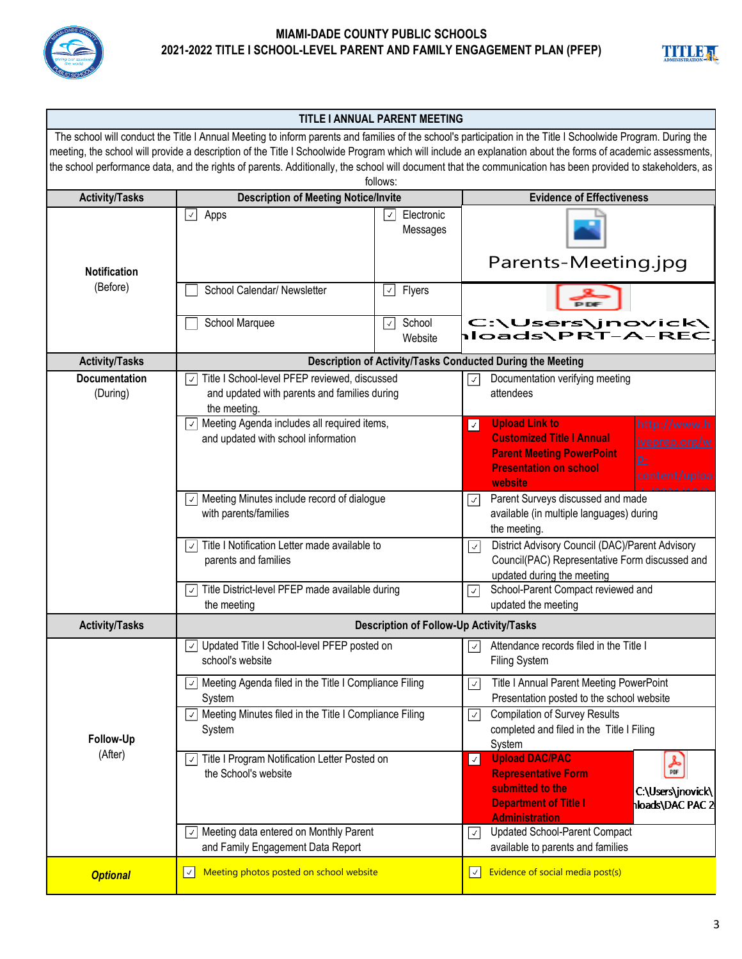



| <b>TITLE I ANNUAL PARENT MEETING</b>                                                                                                                          |                                                                                          |                                                |                      |                                                                                                                                                             |  |
|---------------------------------------------------------------------------------------------------------------------------------------------------------------|------------------------------------------------------------------------------------------|------------------------------------------------|----------------------|-------------------------------------------------------------------------------------------------------------------------------------------------------------|--|
| The school will conduct the Title I Annual Meeting to inform parents and families of the school's participation in the Title I Schoolwide Program. During the |                                                                                          |                                                |                      |                                                                                                                                                             |  |
|                                                                                                                                                               |                                                                                          |                                                |                      | meeting, the school will provide a description of the Title I Schoolwide Program which will include an explanation about the forms of academic assessments, |  |
|                                                                                                                                                               |                                                                                          | follows:                                       |                      | the school performance data, and the rights of parents. Additionally, the school will document that the communication has been provided to stakeholders, as |  |
| <b>Activity/Tasks</b>                                                                                                                                         | <b>Description of Meeting Notice/Invite</b>                                              |                                                |                      | <b>Evidence of Effectiveness</b>                                                                                                                            |  |
|                                                                                                                                                               | $\checkmark$<br>Electronic<br>Apps<br>$\mathcal{L}$                                      |                                                |                      |                                                                                                                                                             |  |
|                                                                                                                                                               |                                                                                          | Messages                                       |                      |                                                                                                                                                             |  |
|                                                                                                                                                               |                                                                                          |                                                |                      |                                                                                                                                                             |  |
|                                                                                                                                                               |                                                                                          |                                                |                      | Parents-Meeting.jpg                                                                                                                                         |  |
| <b>Notification</b>                                                                                                                                           |                                                                                          |                                                |                      |                                                                                                                                                             |  |
| (Before)                                                                                                                                                      | School Calendar/ Newsletter                                                              | Flyers<br>$\checkmark$                         |                      |                                                                                                                                                             |  |
|                                                                                                                                                               | School Marquee                                                                           | School<br>$\checkmark$                         |                      | C:\Users\jnovick\                                                                                                                                           |  |
|                                                                                                                                                               |                                                                                          | Website                                        |                      | Ioads\PRT-A-REC                                                                                                                                             |  |
| <b>Activity/Tasks</b>                                                                                                                                         |                                                                                          |                                                |                      | Description of Activity/Tasks Conducted During the Meeting                                                                                                  |  |
| <b>Documentation</b>                                                                                                                                          | Title I School-level PFEP reviewed, discussed<br>√∥                                      |                                                | $\mathcal{A}$        | Documentation verifying meeting                                                                                                                             |  |
| (During)                                                                                                                                                      | and updated with parents and families during                                             |                                                |                      | attendees                                                                                                                                                   |  |
|                                                                                                                                                               | the meeting.                                                                             |                                                |                      |                                                                                                                                                             |  |
|                                                                                                                                                               | $\vee$ Meeting Agenda includes all required items,                                       |                                                | $\boxed{\checkmark}$ | <b>Upload Link to</b><br>http://www.h<br><b>Customized Title I Annual</b>                                                                                   |  |
|                                                                                                                                                               | and updated with school information                                                      |                                                |                      | iveprep.org/w<br><b>Parent Meeting PowerPoint</b>                                                                                                           |  |
|                                                                                                                                                               |                                                                                          |                                                |                      | $p_{-}$<br><b>Presentation on school</b>                                                                                                                    |  |
|                                                                                                                                                               |                                                                                          |                                                |                      | content/uploa<br>website                                                                                                                                    |  |
|                                                                                                                                                               | $\sqrt{ }$ Meeting Minutes include record of dialogue                                    |                                                | $ \downarrow $       | Parent Surveys discussed and made                                                                                                                           |  |
|                                                                                                                                                               | with parents/families                                                                    |                                                |                      | available (in multiple languages) during                                                                                                                    |  |
|                                                                                                                                                               | Title I Notification Letter made available to<br>$\vert$ $\vert$<br>parents and families |                                                |                      | the meeting.                                                                                                                                                |  |
|                                                                                                                                                               |                                                                                          |                                                | $\vert$              | District Advisory Council (DAC)/Parent Advisory<br>Council(PAC) Representative Form discussed and                                                           |  |
|                                                                                                                                                               |                                                                                          |                                                |                      | updated during the meeting                                                                                                                                  |  |
|                                                                                                                                                               | Title District-level PFEP made available during<br>$\checkmark$                          |                                                | $\checkmark$         | School-Parent Compact reviewed and                                                                                                                          |  |
|                                                                                                                                                               | the meeting                                                                              |                                                | updated the meeting  |                                                                                                                                                             |  |
| <b>Activity/Tasks</b>                                                                                                                                         |                                                                                          | <b>Description of Follow-Up Activity/Tasks</b> |                      |                                                                                                                                                             |  |
|                                                                                                                                                               | Updated Title I School-level PFEP posted on<br>√∣                                        |                                                | √∣                   | Attendance records filed in the Title I                                                                                                                     |  |
|                                                                                                                                                               | school's website                                                                         |                                                |                      | <b>Filing System</b>                                                                                                                                        |  |
|                                                                                                                                                               | $\vee$ Meeting Agenda filed in the Title I Compliance Filing                             |                                                | $\vee$               | Title I Annual Parent Meeting PowerPoint                                                                                                                    |  |
|                                                                                                                                                               | System                                                                                   |                                                |                      | Presentation posted to the school website                                                                                                                   |  |
|                                                                                                                                                               | $\vee$ Meeting Minutes filed in the Title I Compliance Filing                            |                                                | $\sqrt{2}$           | <b>Compilation of Survey Results</b>                                                                                                                        |  |
| Follow-Up                                                                                                                                                     | System                                                                                   |                                                |                      | completed and filed in the Title I Filing<br>System                                                                                                         |  |
| (After)                                                                                                                                                       | $\boxed{\check{ }}$ Title I Program Notification Letter Posted on                        |                                                | $\sqrt{2}$           | <b>Upload DAC/PAC</b>                                                                                                                                       |  |
|                                                                                                                                                               | the School's website                                                                     |                                                |                      | 备<br><b>Representative Form</b>                                                                                                                             |  |
|                                                                                                                                                               |                                                                                          |                                                |                      | submitted to the<br>C:\Users\jnovick\                                                                                                                       |  |
|                                                                                                                                                               |                                                                                          |                                                |                      | <b>Department of Title I</b><br><b>loads\DAC PAC 2</b><br><b>Administration</b>                                                                             |  |
|                                                                                                                                                               | $\vee$ Meeting data entered on Monthly Parent                                            |                                                | $\mathcal{L}$        | <b>Updated School-Parent Compact</b>                                                                                                                        |  |
|                                                                                                                                                               | and Family Engagement Data Report                                                        |                                                |                      | available to parents and families                                                                                                                           |  |
|                                                                                                                                                               | Meeting photos posted on school website<br>$ \mathcal{A} $                               |                                                | $ \mathcal{A} $      | Evidence of social media post(s)                                                                                                                            |  |
| <b>Optional</b>                                                                                                                                               |                                                                                          |                                                |                      |                                                                                                                                                             |  |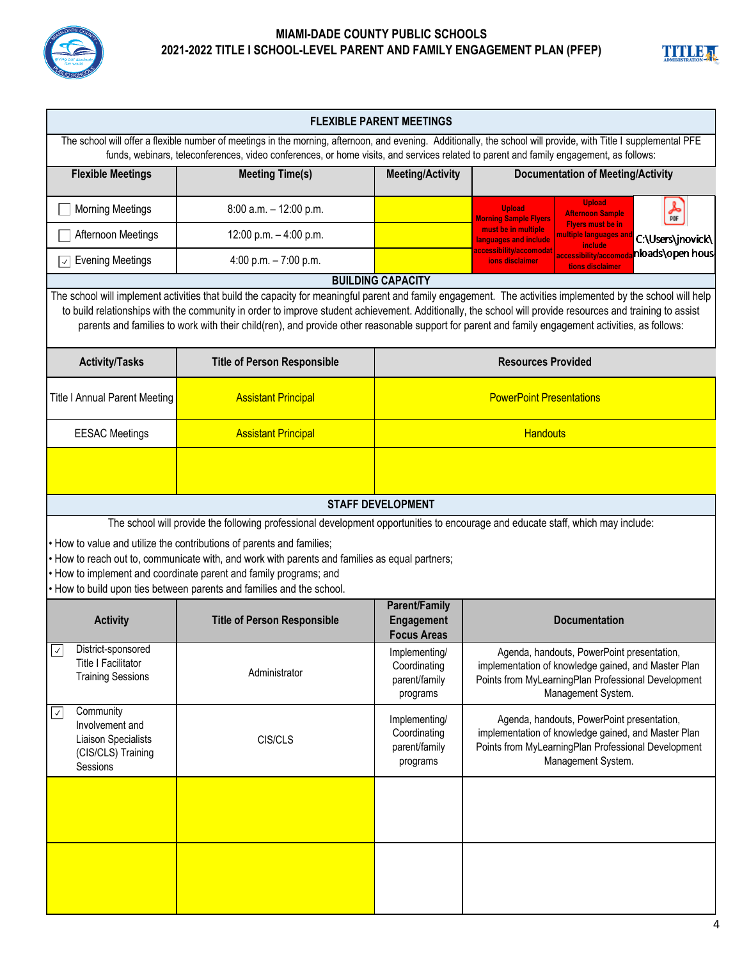



| <b>FLEXIBLE PARENT MEETINGS</b>                                                                                                                                                                                                                                                                                                                                                                                                                          |                                                                                                                                                                                                                                                                                                                                                                                                                                                                                |                                                            |                                                                                                                                                                                |  |  |  |
|----------------------------------------------------------------------------------------------------------------------------------------------------------------------------------------------------------------------------------------------------------------------------------------------------------------------------------------------------------------------------------------------------------------------------------------------------------|--------------------------------------------------------------------------------------------------------------------------------------------------------------------------------------------------------------------------------------------------------------------------------------------------------------------------------------------------------------------------------------------------------------------------------------------------------------------------------|------------------------------------------------------------|--------------------------------------------------------------------------------------------------------------------------------------------------------------------------------|--|--|--|
| The school will offer a flexible number of meetings in the morning, afternoon, and evening. Additionally, the school will provide, with Title I supplemental PFE<br>funds, webinars, teleconferences, video conferences, or home visits, and services related to parent and family engagement, as follows:                                                                                                                                               |                                                                                                                                                                                                                                                                                                                                                                                                                                                                                |                                                            |                                                                                                                                                                                |  |  |  |
| <b>Flexible Meetings</b>                                                                                                                                                                                                                                                                                                                                                                                                                                 | <b>Meeting Time(s)</b>                                                                                                                                                                                                                                                                                                                                                                                                                                                         | <b>Meeting/Activity</b>                                    | <b>Documentation of Meeting/Activity</b>                                                                                                                                       |  |  |  |
| <b>Morning Meetings</b>                                                                                                                                                                                                                                                                                                                                                                                                                                  | 8:00 a.m. - 12:00 p.m.                                                                                                                                                                                                                                                                                                                                                                                                                                                         |                                                            | <b>Upload</b><br>$\frac{1}{\pi}$<br><b>Upload</b><br><b>Afternoon Sample</b><br><b>Morning Sample Flyers</b>                                                                   |  |  |  |
| Afternoon Meetings                                                                                                                                                                                                                                                                                                                                                                                                                                       | 12:00 p.m. - 4:00 p.m.                                                                                                                                                                                                                                                                                                                                                                                                                                                         |                                                            | <b>Flyers must be in</b><br>must be in multiple<br>nultiple languages an<br>C:\Users\jnovick\<br>languages and include<br>include                                              |  |  |  |
| <b>Evening Meetings</b><br>$\checkmark$                                                                                                                                                                                                                                                                                                                                                                                                                  | 4:00 p.m. $-7:00$ p.m.                                                                                                                                                                                                                                                                                                                                                                                                                                                         |                                                            | <u>accessibility/accomodat</u><br>n <b>loads\open hous</b><br>accessibility/accomod<br>ions disclaimer<br>tions disclaimer                                                     |  |  |  |
|                                                                                                                                                                                                                                                                                                                                                                                                                                                          |                                                                                                                                                                                                                                                                                                                                                                                                                                                                                | <b>BUILDING CAPACITY</b>                                   |                                                                                                                                                                                |  |  |  |
|                                                                                                                                                                                                                                                                                                                                                                                                                                                          | The school will implement activities that build the capacity for meaningful parent and family engagement. The activities implemented by the school will help<br>to build relationships with the community in order to improve student achievement. Additionally, the school will provide resources and training to assist<br>parents and families to work with their child(ren), and provide other reasonable support for parent and family engagement activities, as follows: |                                                            |                                                                                                                                                                                |  |  |  |
| <b>Activity/Tasks</b>                                                                                                                                                                                                                                                                                                                                                                                                                                    | <b>Title of Person Responsible</b>                                                                                                                                                                                                                                                                                                                                                                                                                                             |                                                            | <b>Resources Provided</b>                                                                                                                                                      |  |  |  |
| <b>Title I Annual Parent Meeting</b>                                                                                                                                                                                                                                                                                                                                                                                                                     | <b>Assistant Principal</b>                                                                                                                                                                                                                                                                                                                                                                                                                                                     | <b>PowerPoint Presentations</b>                            |                                                                                                                                                                                |  |  |  |
| <b>EESAC Meetings</b>                                                                                                                                                                                                                                                                                                                                                                                                                                    | <b>Assistant Principal</b>                                                                                                                                                                                                                                                                                                                                                                                                                                                     | <b>Handouts</b>                                            |                                                                                                                                                                                |  |  |  |
|                                                                                                                                                                                                                                                                                                                                                                                                                                                          | <b>STAFF DEVELOPMENT</b>                                                                                                                                                                                                                                                                                                                                                                                                                                                       |                                                            |                                                                                                                                                                                |  |  |  |
|                                                                                                                                                                                                                                                                                                                                                                                                                                                          |                                                                                                                                                                                                                                                                                                                                                                                                                                                                                |                                                            |                                                                                                                                                                                |  |  |  |
| The school will provide the following professional development opportunities to encourage and educate staff, which may include:<br>. How to value and utilize the contributions of parents and families;<br>. How to reach out to, communicate with, and work with parents and families as equal partners;<br>. How to implement and coordinate parent and family programs; and<br>. How to build upon ties between parents and families and the school. |                                                                                                                                                                                                                                                                                                                                                                                                                                                                                |                                                            |                                                                                                                                                                                |  |  |  |
| <b>Activity</b>                                                                                                                                                                                                                                                                                                                                                                                                                                          | <b>Title of Person Responsible</b>                                                                                                                                                                                                                                                                                                                                                                                                                                             | <b>Parent/Family</b><br>Engagement<br><b>Focus Areas</b>   | <b>Documentation</b>                                                                                                                                                           |  |  |  |
| District-sponsored<br>Title I Facilitator<br><b>Training Sessions</b>                                                                                                                                                                                                                                                                                                                                                                                    | Administrator                                                                                                                                                                                                                                                                                                                                                                                                                                                                  | Implementing/<br>Coordinating<br>parent/family<br>programs | Agenda, handouts, PowerPoint presentation,<br>implementation of knowledge gained, and Master Plan<br>Points from MyLearningPlan Professional Development<br>Management System. |  |  |  |
| Community<br>$\checkmark$<br>Involvement and<br>Liaison Specialists<br>(CIS/CLS) Training<br>Sessions                                                                                                                                                                                                                                                                                                                                                    | CIS/CLS                                                                                                                                                                                                                                                                                                                                                                                                                                                                        | Implementing/<br>Coordinating<br>parent/family<br>programs | Agenda, handouts, PowerPoint presentation,<br>implementation of knowledge gained, and Master Plan<br>Points from MyLearningPlan Professional Development<br>Management System. |  |  |  |
|                                                                                                                                                                                                                                                                                                                                                                                                                                                          |                                                                                                                                                                                                                                                                                                                                                                                                                                                                                |                                                            |                                                                                                                                                                                |  |  |  |
|                                                                                                                                                                                                                                                                                                                                                                                                                                                          |                                                                                                                                                                                                                                                                                                                                                                                                                                                                                |                                                            |                                                                                                                                                                                |  |  |  |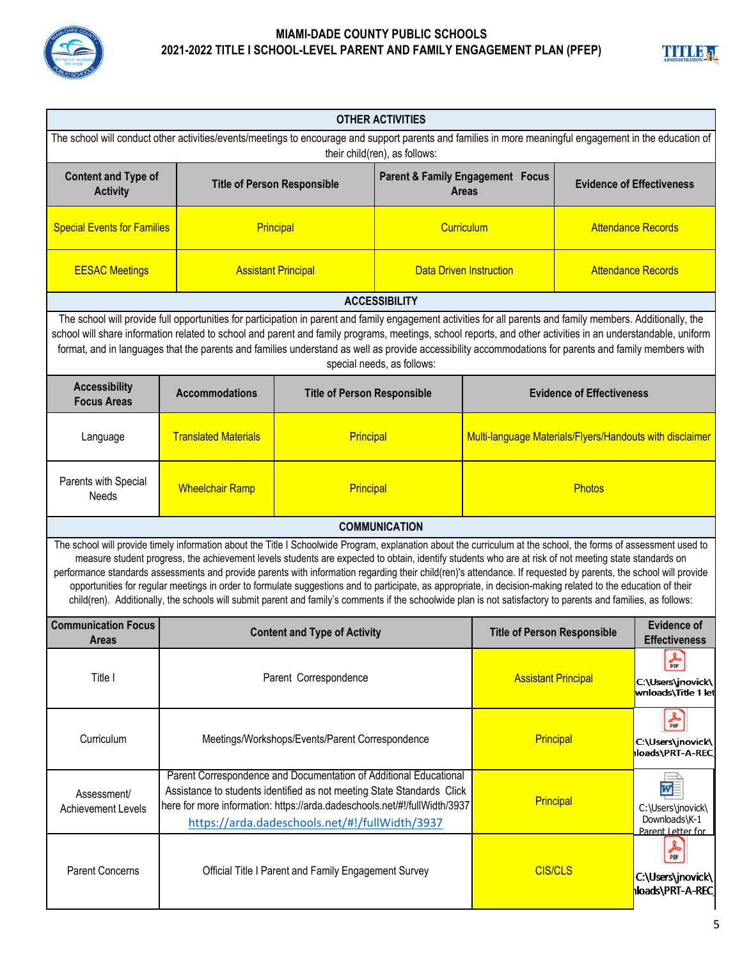



| <b>OTHER ACTIVITIES</b>                                                                                                                                                                                                                                                                                                                                                                                                                                                                                                                                                                                                                                                                                                                                                                                                          |                                                                                                                                                                                                                                                                            |           |                                                  |                                                          |                                            |                                                              |
|----------------------------------------------------------------------------------------------------------------------------------------------------------------------------------------------------------------------------------------------------------------------------------------------------------------------------------------------------------------------------------------------------------------------------------------------------------------------------------------------------------------------------------------------------------------------------------------------------------------------------------------------------------------------------------------------------------------------------------------------------------------------------------------------------------------------------------|----------------------------------------------------------------------------------------------------------------------------------------------------------------------------------------------------------------------------------------------------------------------------|-----------|--------------------------------------------------|----------------------------------------------------------|--------------------------------------------|--------------------------------------------------------------|
| The school will conduct other activities/events/meetings to encourage and support parents and families in more meaningful engagement in the education of<br>their child(ren), as follows:                                                                                                                                                                                                                                                                                                                                                                                                                                                                                                                                                                                                                                        |                                                                                                                                                                                                                                                                            |           |                                                  |                                                          |                                            |                                                              |
| <b>Content and Type of</b><br><b>Activity</b>                                                                                                                                                                                                                                                                                                                                                                                                                                                                                                                                                                                                                                                                                                                                                                                    | <b>Title of Person Responsible</b>                                                                                                                                                                                                                                         |           | Parent & Family Engagement Focus<br><b>Areas</b> |                                                          | <b>Evidence of Effectiveness</b>           |                                                              |
| <b>Special Events for Families</b>                                                                                                                                                                                                                                                                                                                                                                                                                                                                                                                                                                                                                                                                                                                                                                                               | Principal                                                                                                                                                                                                                                                                  |           | Curriculum                                       |                                                          | <b>Attendance Records</b>                  |                                                              |
| <b>EESAC Meetings</b>                                                                                                                                                                                                                                                                                                                                                                                                                                                                                                                                                                                                                                                                                                                                                                                                            | <b>Assistant Principal</b>                                                                                                                                                                                                                                                 |           | <b>Data Driven Instruction</b>                   |                                                          | <b>Attendance Records</b>                  |                                                              |
|                                                                                                                                                                                                                                                                                                                                                                                                                                                                                                                                                                                                                                                                                                                                                                                                                                  |                                                                                                                                                                                                                                                                            |           | <b>ACCESSIBILITY</b>                             |                                                          |                                            |                                                              |
| The school will provide full opportunities for participation in parent and family engagement activities for all parents and family members. Additionally, the<br>school will share information related to school and parent and family programs, meetings, school reports, and other activities in an understandable, uniform<br>format, and in languages that the parents and families understand as well as provide accessibility accommodations for parents and family members with<br>special needs, as follows:                                                                                                                                                                                                                                                                                                             |                                                                                                                                                                                                                                                                            |           |                                                  |                                                          |                                            |                                                              |
| <b>Accessibility</b><br><b>Focus Areas</b>                                                                                                                                                                                                                                                                                                                                                                                                                                                                                                                                                                                                                                                                                                                                                                                       | <b>Accommodations</b>                                                                                                                                                                                                                                                      |           | <b>Title of Person Responsible</b>               |                                                          | <b>Evidence of Effectiveness</b>           |                                                              |
| Language                                                                                                                                                                                                                                                                                                                                                                                                                                                                                                                                                                                                                                                                                                                                                                                                                         | <b>Translated Materials</b>                                                                                                                                                                                                                                                | Principal |                                                  | Multi-language Materials/Flyers/Handouts with disclaimer |                                            |                                                              |
| Parents with Special<br>Needs                                                                                                                                                                                                                                                                                                                                                                                                                                                                                                                                                                                                                                                                                                                                                                                                    | <b>Wheelchair Ramp</b>                                                                                                                                                                                                                                                     | Principal |                                                  | <b>Photos</b>                                            |                                            |                                                              |
|                                                                                                                                                                                                                                                                                                                                                                                                                                                                                                                                                                                                                                                                                                                                                                                                                                  |                                                                                                                                                                                                                                                                            |           | <b>COMMUNICATION</b>                             |                                                          |                                            |                                                              |
| The school will provide timely information about the Title I Schoolwide Program, explanation about the curriculum at the school, the forms of assessment used to<br>measure student progress, the achievement levels students are expected to obtain, identify students who are at risk of not meeting state standards on<br>performance standards assessments and provide parents with information regarding their child(ren)'s attendance. If requested by parents, the school will provide<br>opportunities for regular meetings in order to formulate suggestions and to participate, as appropriate, in decision-making related to the education of their<br>child(ren). Additionally, the schools will submit parent and family's comments if the schoolwide plan is not satisfactory to parents and families, as follows: |                                                                                                                                                                                                                                                                            |           |                                                  |                                                          |                                            |                                                              |
| <b>Communication Focus</b><br>Areas                                                                                                                                                                                                                                                                                                                                                                                                                                                                                                                                                                                                                                                                                                                                                                                              | <b>Content and Type of Activity</b>                                                                                                                                                                                                                                        |           | <b>Title of Person Responsible</b>               |                                                          | <b>Evidence of</b><br><b>Effectiveness</b> |                                                              |
| Title I                                                                                                                                                                                                                                                                                                                                                                                                                                                                                                                                                                                                                                                                                                                                                                                                                          | Parent Correspondence                                                                                                                                                                                                                                                      |           |                                                  | <b>Assistant Principal</b>                               |                                            | 斋<br>C:\Users\jnovick\<br> wnloads\Title 1 let               |
| Curriculum                                                                                                                                                                                                                                                                                                                                                                                                                                                                                                                                                                                                                                                                                                                                                                                                                       | Meetings/Workshops/Events/Parent Correspondence                                                                                                                                                                                                                            |           |                                                  | Principal                                                |                                            | $\frac{1}{\pi}$<br>C:\Users\jnovick\<br>loads\PRT-A-REC      |
| Assessment/<br><b>Achievement Levels</b>                                                                                                                                                                                                                                                                                                                                                                                                                                                                                                                                                                                                                                                                                                                                                                                         | Parent Correspondence and Documentation of Additional Educational<br>Assistance to students identified as not meeting State Standards Click<br>here for more information: https://arda.dadeschools.net/#!/fullWidth/3937<br>https://arda.dadeschools.net/#!/fullWidth/3937 |           |                                                  | Principal                                                |                                            | w<br>C:\Users\jnovick\<br>Downloads\K-1<br>Parent Letter for |
| <b>Parent Concerns</b>                                                                                                                                                                                                                                                                                                                                                                                                                                                                                                                                                                                                                                                                                                                                                                                                           | Official Title I Parent and Family Engagement Survey                                                                                                                                                                                                                       |           |                                                  | <b>CIS/CLS</b>                                           |                                            | 人所<br>C:\Users\jnovick\<br><b> loads\PRT-A-REC </b>          |